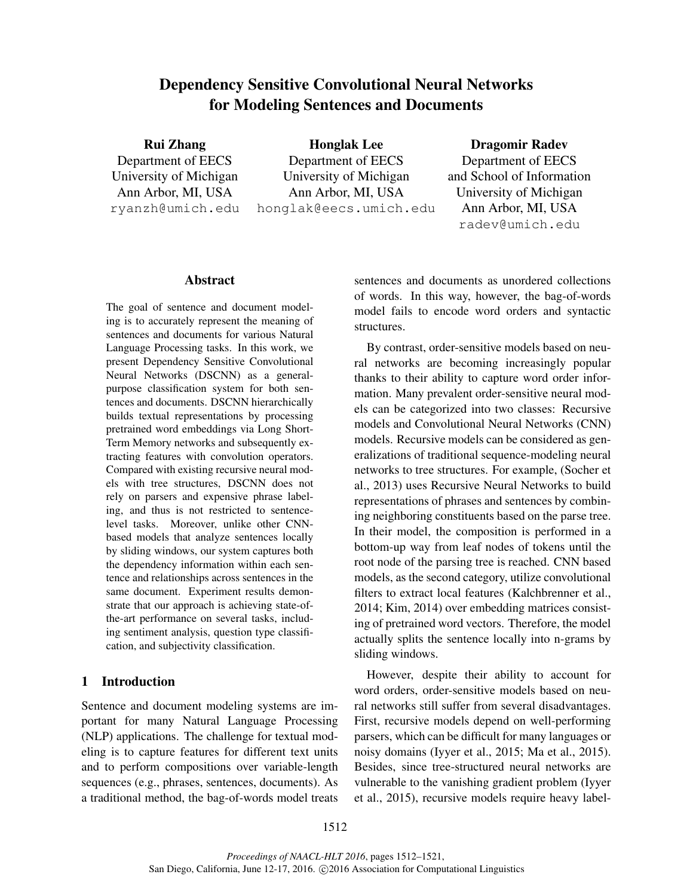# Dependency Sensitive Convolutional Neural Networks for Modeling Sentences and Documents

Rui Zhang Department of EECS University of Michigan Ann Arbor, MI, USA ryanzh@umich.edu

Honglak Lee Department of EECS University of Michigan Ann Arbor, MI, USA honglak@eecs.umich.edu Dragomir Radev

Department of EECS and School of Information University of Michigan Ann Arbor, MI, USA radev@umich.edu

## Abstract

The goal of sentence and document modeling is to accurately represent the meaning of sentences and documents for various Natural Language Processing tasks. In this work, we present Dependency Sensitive Convolutional Neural Networks (DSCNN) as a generalpurpose classification system for both sentences and documents. DSCNN hierarchically builds textual representations by processing pretrained word embeddings via Long Short-Term Memory networks and subsequently extracting features with convolution operators. Compared with existing recursive neural models with tree structures, DSCNN does not rely on parsers and expensive phrase labeling, and thus is not restricted to sentencelevel tasks. Moreover, unlike other CNNbased models that analyze sentences locally by sliding windows, our system captures both the dependency information within each sentence and relationships across sentences in the same document. Experiment results demonstrate that our approach is achieving state-ofthe-art performance on several tasks, including sentiment analysis, question type classification, and subjectivity classification.

# 1 Introduction

Sentence and document modeling systems are important for many Natural Language Processing (NLP) applications. The challenge for textual modeling is to capture features for different text units and to perform compositions over variable-length sequences (e.g., phrases, sentences, documents). As a traditional method, the bag-of-words model treats sentences and documents as unordered collections of words. In this way, however, the bag-of-words model fails to encode word orders and syntactic structures.

By contrast, order-sensitive models based on neural networks are becoming increasingly popular thanks to their ability to capture word order information. Many prevalent order-sensitive neural models can be categorized into two classes: Recursive models and Convolutional Neural Networks (CNN) models. Recursive models can be considered as generalizations of traditional sequence-modeling neural networks to tree structures. For example, (Socher et al., 2013) uses Recursive Neural Networks to build representations of phrases and sentences by combining neighboring constituents based on the parse tree. In their model, the composition is performed in a bottom-up way from leaf nodes of tokens until the root node of the parsing tree is reached. CNN based models, as the second category, utilize convolutional filters to extract local features (Kalchbrenner et al., 2014; Kim, 2014) over embedding matrices consisting of pretrained word vectors. Therefore, the model actually splits the sentence locally into n-grams by sliding windows.

However, despite their ability to account for word orders, order-sensitive models based on neural networks still suffer from several disadvantages. First, recursive models depend on well-performing parsers, which can be difficult for many languages or noisy domains (Iyyer et al., 2015; Ma et al., 2015). Besides, since tree-structured neural networks are vulnerable to the vanishing gradient problem (Iyyer et al., 2015), recursive models require heavy label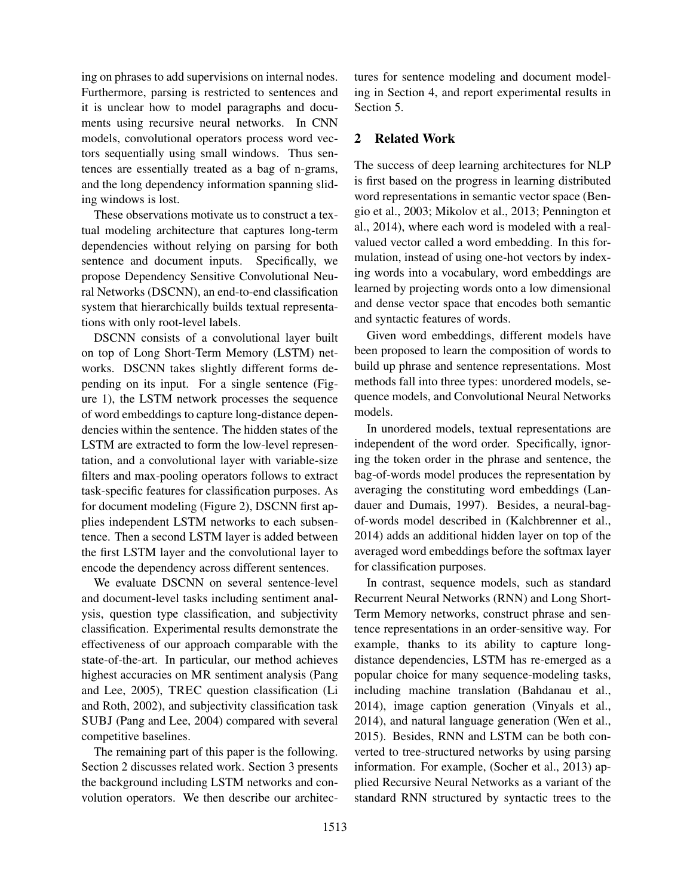ing on phrases to add supervisions on internal nodes. Furthermore, parsing is restricted to sentences and it is unclear how to model paragraphs and documents using recursive neural networks. In CNN models, convolutional operators process word vectors sequentially using small windows. Thus sentences are essentially treated as a bag of n-grams, and the long dependency information spanning sliding windows is lost.

These observations motivate us to construct a textual modeling architecture that captures long-term dependencies without relying on parsing for both sentence and document inputs. Specifically, we propose Dependency Sensitive Convolutional Neural Networks (DSCNN), an end-to-end classification system that hierarchically builds textual representations with only root-level labels.

DSCNN consists of a convolutional layer built on top of Long Short-Term Memory (LSTM) networks. DSCNN takes slightly different forms depending on its input. For a single sentence (Figure 1), the LSTM network processes the sequence of word embeddings to capture long-distance dependencies within the sentence. The hidden states of the LSTM are extracted to form the low-level representation, and a convolutional layer with variable-size filters and max-pooling operators follows to extract task-specific features for classification purposes. As for document modeling (Figure 2), DSCNN first applies independent LSTM networks to each subsentence. Then a second LSTM layer is added between the first LSTM layer and the convolutional layer to encode the dependency across different sentences.

We evaluate DSCNN on several sentence-level and document-level tasks including sentiment analysis, question type classification, and subjectivity classification. Experimental results demonstrate the effectiveness of our approach comparable with the state-of-the-art. In particular, our method achieves highest accuracies on MR sentiment analysis (Pang and Lee, 2005), TREC question classification (Li and Roth, 2002), and subjectivity classification task SUBJ (Pang and Lee, 2004) compared with several competitive baselines.

The remaining part of this paper is the following. Section 2 discusses related work. Section 3 presents the background including LSTM networks and convolution operators. We then describe our architectures for sentence modeling and document modeling in Section 4, and report experimental results in Section 5.

# 2 Related Work

The success of deep learning architectures for NLP is first based on the progress in learning distributed word representations in semantic vector space (Bengio et al., 2003; Mikolov et al., 2013; Pennington et al., 2014), where each word is modeled with a realvalued vector called a word embedding. In this formulation, instead of using one-hot vectors by indexing words into a vocabulary, word embeddings are learned by projecting words onto a low dimensional and dense vector space that encodes both semantic and syntactic features of words.

Given word embeddings, different models have been proposed to learn the composition of words to build up phrase and sentence representations. Most methods fall into three types: unordered models, sequence models, and Convolutional Neural Networks models.

In unordered models, textual representations are independent of the word order. Specifically, ignoring the token order in the phrase and sentence, the bag-of-words model produces the representation by averaging the constituting word embeddings (Landauer and Dumais, 1997). Besides, a neural-bagof-words model described in (Kalchbrenner et al., 2014) adds an additional hidden layer on top of the averaged word embeddings before the softmax layer for classification purposes.

In contrast, sequence models, such as standard Recurrent Neural Networks (RNN) and Long Short-Term Memory networks, construct phrase and sentence representations in an order-sensitive way. For example, thanks to its ability to capture longdistance dependencies, LSTM has re-emerged as a popular choice for many sequence-modeling tasks, including machine translation (Bahdanau et al., 2014), image caption generation (Vinyals et al., 2014), and natural language generation (Wen et al., 2015). Besides, RNN and LSTM can be both converted to tree-structured networks by using parsing information. For example, (Socher et al., 2013) applied Recursive Neural Networks as a variant of the standard RNN structured by syntactic trees to the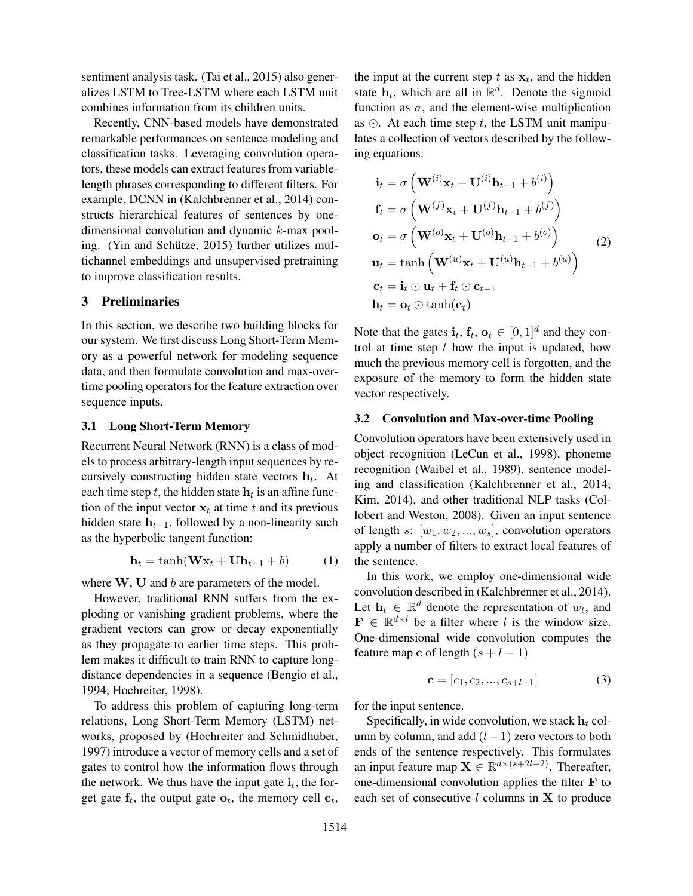sentiment analysis task. (Tai et al., 2015) also generalizes LSTM to Tree-LSTM where each LSTM unit combines information from its children units.

Recently, CNN-based models have demonstrated remarkable performances on sentence modeling and classification tasks. Leveraging convolution operators, these models can extract features from variablelength phrases corresponding to different filters. For example, DCNN in (Kalchbrenner et al., 2014) constructs hierarchical features of sentences by onedimensional convolution and dynamic k-max pooling. (Yin and Schütze, 2015) further utilizes multichannel embeddings and unsupervised pretraining to improve classification results.

## 3 Preliminaries

In this section, we describe two building blocks for our system. We first discuss Long Short-Term Memory as a powerful network for modeling sequence data, and then formulate convolution and max-overtime pooling operators for the feature extraction over sequence inputs.

#### 3.1 Long Short-Term Memory

Recurrent Neural Network (RNN) is a class of models to process arbitrary-length input sequences by recursively constructing hidden state vectors  $\mathbf{h}_t$ . At each time step  $t$ , the hidden state  $\mathbf{h}_t$  is an affine function of the input vector  $x_t$  at time t and its previous hidden state  $h_{t-1}$ , followed by a non-linearity such as the hyperbolic tangent function:

$$
\mathbf{h}_t = \tanh(\mathbf{W}\mathbf{x}_t + \mathbf{U}\mathbf{h}_{t-1} + b) \tag{1}
$$

where  $W$ ,  $U$  and  $b$  are parameters of the model.

However, traditional RNN suffers from the exploding or vanishing gradient problems, where the gradient vectors can grow or decay exponentially as they propagate to earlier time steps. This problem makes it difficult to train RNN to capture longdistance dependencies in a sequence (Bengio et al., 1994; Hochreiter, 1998).

To address this problem of capturing long-term relations, Long Short-Term Memory (LSTM) networks, proposed by (Hochreiter and Schmidhuber, 1997) introduce a vector of memory cells and a set of gates to control how the information flows through the network. We thus have the input gate  $\mathbf{i}_t$ , the forget gate  $f_t$ , the output gate  $o_t$ , the memory cell  $c_t$ ,

the input at the current step t as  $x_t$ , and the hidden state  $h_t$ , which are all in  $\mathbb{R}^d$ . Denote the sigmoid function as  $\sigma$ , and the element-wise multiplication as  $\odot$ . At each time step t, the LSTM unit manipulates a collection of vectors described by the following equations:

$$
\mathbf{i}_{t} = \sigma \left( \mathbf{W}^{(i)} \mathbf{x}_{t} + \mathbf{U}^{(i)} \mathbf{h}_{t-1} + b^{(i)} \right)
$$
\n
$$
\mathbf{f}_{t} = \sigma \left( \mathbf{W}^{(f)} \mathbf{x}_{t} + \mathbf{U}^{(f)} \mathbf{h}_{t-1} + b^{(f)} \right)
$$
\n
$$
\mathbf{o}_{t} = \sigma \left( \mathbf{W}^{(o)} \mathbf{x}_{t} + \mathbf{U}^{(o)} \mathbf{h}_{t-1} + b^{(o)} \right)
$$
\n
$$
\mathbf{u}_{t} = \tanh \left( \mathbf{W}^{(u)} \mathbf{x}_{t} + \mathbf{U}^{(u)} \mathbf{h}_{t-1} + b^{(u)} \right)
$$
\n
$$
\mathbf{c}_{t} = \mathbf{i}_{t} \odot \mathbf{u}_{t} + \mathbf{f}_{t} \odot \mathbf{c}_{t-1}
$$
\n
$$
\mathbf{h}_{t} = \mathbf{o}_{t} \odot \tanh(\mathbf{c}_{t})
$$

Note that the gates  $\mathbf{i}_t$ ,  $\mathbf{f}_t$ ,  $\mathbf{o}_t \in [0,1]^d$  and they control at time step  $t$  how the input is updated, how much the previous memory cell is forgotten, and the exposure of the memory to form the hidden state vector respectively.

#### 3.2 Convolution and Max-over-time Pooling

Convolution operators have been extensively used in object recognition (LeCun et al., 1998), phoneme recognition (Waibel et al., 1989), sentence modeling and classification (Kalchbrenner et al., 2014; Kim, 2014), and other traditional NLP tasks (Collobert and Weston, 2008). Given an input sentence of length s:  $[w_1, w_2, ..., w_s]$ , convolution operators apply a number of filters to extract local features of the sentence.

In this work, we employ one-dimensional wide convolution described in (Kalchbrenner et al., 2014). Let  $\mathbf{h}_t \in \mathbb{R}^d$  denote the representation of  $w_t$ , and  $\mathbf{F} \in \mathbb{R}^{d \times l}$  be a filter where l is the window size. One-dimensional wide convolution computes the feature map c of length  $(s + l - 1)$ 

$$
\mathbf{c} = [c_1, c_2, ..., c_{s+l-1}] \tag{3}
$$

for the input sentence.

Specifically, in wide convolution, we stack  $\mathbf{h}_t$  column by column, and add  $(l-1)$  zero vectors to both ends of the sentence respectively. This formulates an input feature map  $\mathbf{X} \in \mathbb{R}^{d \times (s+2l-2)}$ . Thereafter, one-dimensional convolution applies the filter F to each set of consecutive  $l$  columns in  $X$  to produce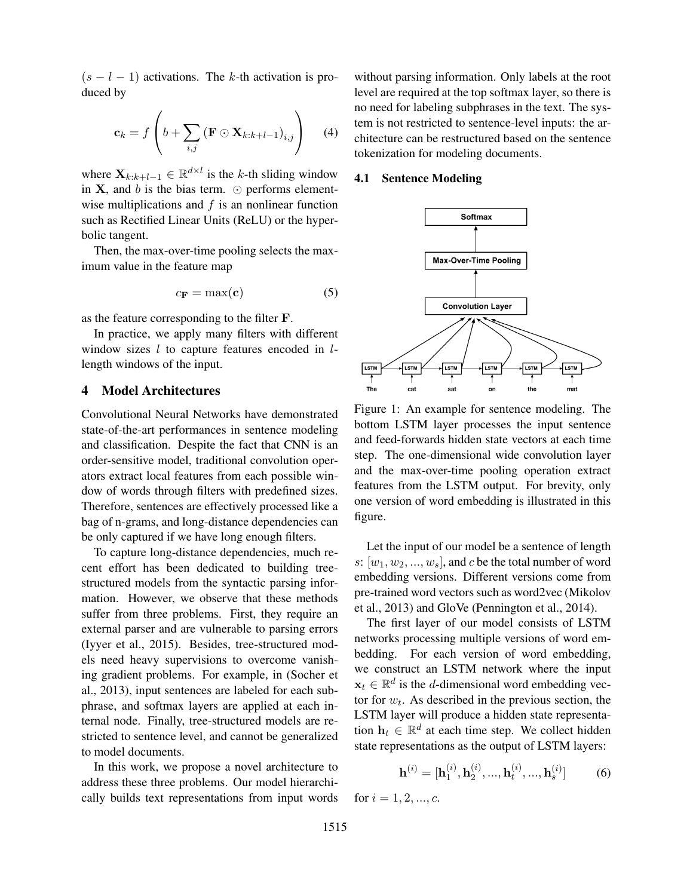$(s - l - 1)$  activations. The k-th activation is produced by

$$
\mathbf{c}_k = f\left(b + \sum_{i,j} \left(\mathbf{F} \odot \mathbf{X}_{k:k+l-1}\right)_{i,j}\right) \tag{4}
$$

where  $\mathbf{X}_{k:k+l-1} \in \mathbb{R}^{d \times l}$  is the k-th sliding window in  $X$ , and b is the bias term.  $\odot$  performs elementwise multiplications and  $f$  is an nonlinear function such as Rectified Linear Units (ReLU) or the hyperbolic tangent.

Then, the max-over-time pooling selects the maximum value in the feature map

$$
c_{\mathbf{F}} = \max(\mathbf{c}) \tag{5}
$$

as the feature corresponding to the filter F.

In practice, we apply many filters with different window sizes  $l$  to capture features encoded in  $l$ length windows of the input.

# 4 Model Architectures

Convolutional Neural Networks have demonstrated state-of-the-art performances in sentence modeling and classification. Despite the fact that CNN is an order-sensitive model, traditional convolution operators extract local features from each possible window of words through filters with predefined sizes. Therefore, sentences are effectively processed like a bag of n-grams, and long-distance dependencies can be only captured if we have long enough filters.

To capture long-distance dependencies, much recent effort has been dedicated to building treestructured models from the syntactic parsing information. However, we observe that these methods suffer from three problems. First, they require an external parser and are vulnerable to parsing errors (Iyyer et al., 2015). Besides, tree-structured models need heavy supervisions to overcome vanishing gradient problems. For example, in (Socher et al., 2013), input sentences are labeled for each subphrase, and softmax layers are applied at each internal node. Finally, tree-structured models are restricted to sentence level, and cannot be generalized to model documents.

In this work, we propose a novel architecture to address these three problems. Our model hierarchically builds text representations from input words without parsing information. Only labels at the root level are required at the top softmax layer, so there is no need for labeling subphrases in the text. The system is not restricted to sentence-level inputs: the architecture can be restructured based on the sentence tokenization for modeling documents.

#### 4.1 Sentence Modeling



Figure 1: An example for sentence modeling. The bottom LSTM layer processes the input sentence and feed-forwards hidden state vectors at each time step. The one-dimensional wide convolution layer and the max-over-time pooling operation extract features from the LSTM output. For brevity, only one version of word embedding is illustrated in this figure.

Let the input of our model be a sentence of length s:  $[w_1, w_2, ..., w_s]$ , and c be the total number of word embedding versions. Different versions come from pre-trained word vectors such as word2vec (Mikolov et al., 2013) and GloVe (Pennington et al., 2014).

The first layer of our model consists of LSTM networks processing multiple versions of word embedding. For each version of word embedding, we construct an LSTM network where the input  $\mathbf{x}_t \in \mathbb{R}^d$  is the *d*-dimensional word embedding vector for  $w_t$ . As described in the previous section, the LSTM layer will produce a hidden state representation  $\mathbf{h}_t \in \mathbb{R}^d$  at each time step. We collect hidden state representations as the output of LSTM layers:

$$
\mathbf{h}^{(i)} = [\mathbf{h}_1^{(i)}, \mathbf{h}_2^{(i)}, ..., \mathbf{h}_t^{(i)}, ..., \mathbf{h}_s^{(i)}]
$$
(6)

for  $i = 1, 2, ..., c$ .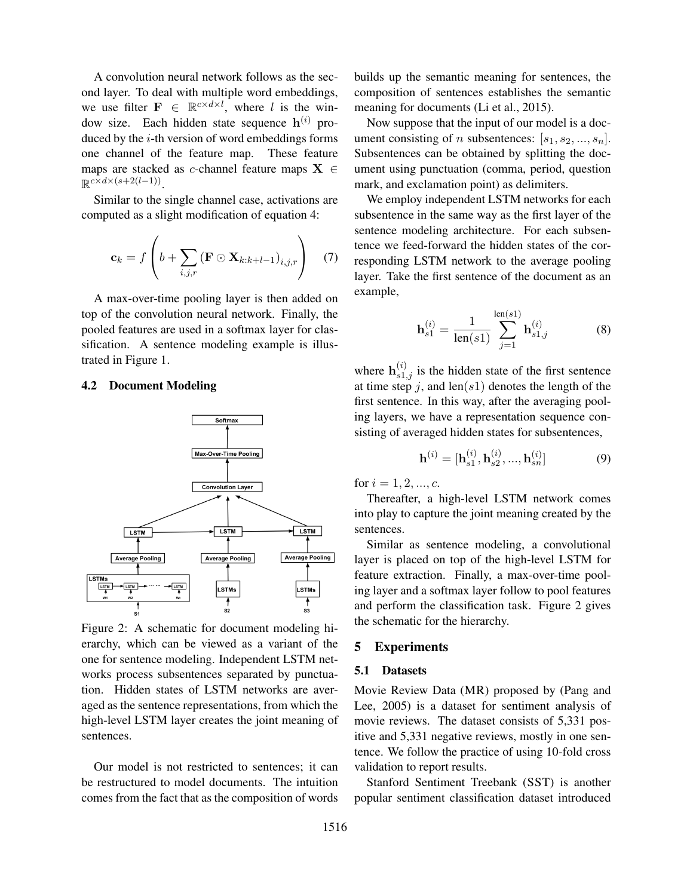A convolution neural network follows as the second layer. To deal with multiple word embeddings, we use filter  $\mathbf{F} \in \mathbb{R}^{c \times d \times l}$ , where l is the window size. Each hidden state sequence  $h^{(i)}$  produced by the  $i$ -th version of word embeddings forms one channel of the feature map. These feature maps are stacked as *c*-channel feature maps  $X \in$  $\mathbb{R}^{c \times d \times (s+2(l-1))}$ .

Similar to the single channel case, activations are computed as a slight modification of equation 4:

$$
\mathbf{c}_k = f\left(b + \sum_{i,j,r} (\mathbf{F} \odot \mathbf{X}_{k:k+l-1})_{i,j,r}\right) \quad (7)
$$

A max-over-time pooling layer is then added on top of the convolution neural network. Finally, the pooled features are used in a softmax layer for classification. A sentence modeling example is illustrated in Figure 1.

#### 4.2 Document Modeling



Figure 2: A schematic for document modeling hierarchy, which can be viewed as a variant of the one for sentence modeling. Independent LSTM networks process subsentences separated by punctuation. Hidden states of LSTM networks are averaged as the sentence representations, from which the high-level LSTM layer creates the joint meaning of sentences.

Our model is not restricted to sentences; it can be restructured to model documents. The intuition comes from the fact that as the composition of words builds up the semantic meaning for sentences, the composition of sentences establishes the semantic meaning for documents (Li et al., 2015).

Now suppose that the input of our model is a document consisting of n subsentences:  $[s_1, s_2, ..., s_n]$ . Subsentences can be obtained by splitting the document using punctuation (comma, period, question mark, and exclamation point) as delimiters.

We employ independent LSTM networks for each subsentence in the same way as the first layer of the sentence modeling architecture. For each subsentence we feed-forward the hidden states of the corresponding LSTM network to the average pooling layer. Take the first sentence of the document as an example,

$$
\mathbf{h}_{s1}^{(i)} = \frac{1}{\text{len}(s1)} \sum_{j=1}^{\text{len}(s1)} \mathbf{h}_{s1,j}^{(i)} \tag{8}
$$

where  $h_{s1,j}^{(i)}$  is the hidden state of the first sentence at time step j, and len(s1) denotes the length of the first sentence. In this way, after the averaging pooling layers, we have a representation sequence consisting of averaged hidden states for subsentences,

$$
\mathbf{h}^{(i)} = [\mathbf{h}_{s1}^{(i)}, \mathbf{h}_{s2}^{(i)}, ..., \mathbf{h}_{sn}^{(i)}]
$$
(9)

for  $i = 1, 2, ..., c$ .

Thereafter, a high-level LSTM network comes into play to capture the joint meaning created by the sentences.

Similar as sentence modeling, a convolutional layer is placed on top of the high-level LSTM for feature extraction. Finally, a max-over-time pooling layer and a softmax layer follow to pool features and perform the classification task. Figure 2 gives the schematic for the hierarchy.

#### 5 Experiments

## 5.1 Datasets

Movie Review Data (MR) proposed by (Pang and Lee, 2005) is a dataset for sentiment analysis of movie reviews. The dataset consists of 5,331 positive and 5,331 negative reviews, mostly in one sentence. We follow the practice of using 10-fold cross validation to report results.

Stanford Sentiment Treebank (SST) is another popular sentiment classification dataset introduced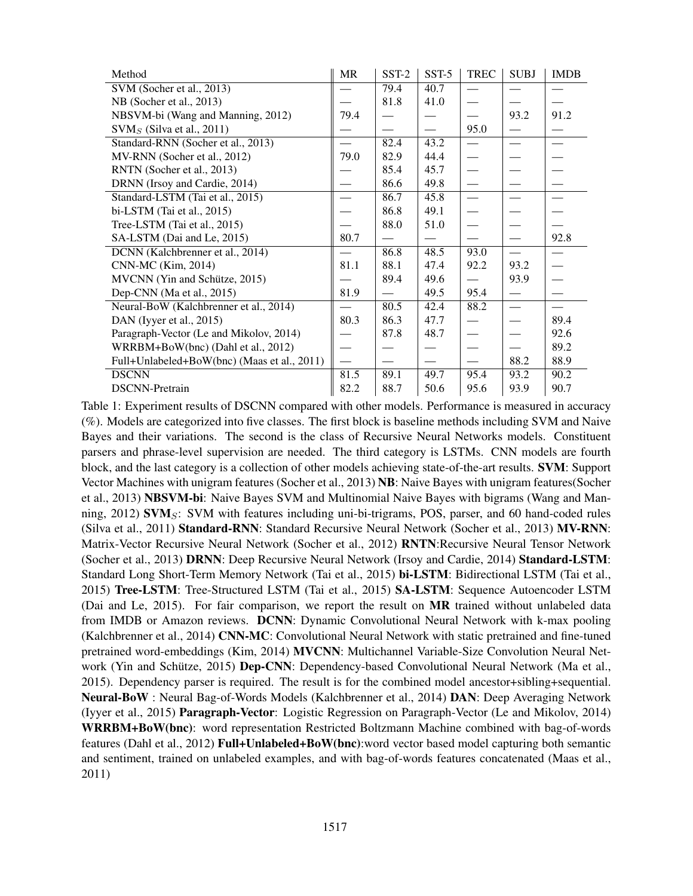| Method                                      | <b>MR</b> | SST-2                    | SST-5 | <b>TREC</b>              | <b>SUBJ</b>                   | <b>IMDB</b>                   |
|---------------------------------------------|-----------|--------------------------|-------|--------------------------|-------------------------------|-------------------------------|
| SVM (Socher et al., 2013)                   |           | 79.4                     | 40.7  | $\overline{\phantom{0}}$ |                               |                               |
| NB (Socher et al., 2013)                    |           | 81.8                     | 41.0  |                          |                               |                               |
| NBSVM-bi (Wang and Manning, 2012)           | 79.4      |                          |       |                          | 93.2                          | 91.2                          |
| $\text{SVM}_S$ (Silva et al., 2011)         |           |                          |       | 95.0                     |                               |                               |
| Standard-RNN (Socher et al., 2013)          |           | 82.4                     | 43.2  |                          | $\overbrace{\phantom{aaaaa}}$ | $\overbrace{\phantom{aaaaa}}$ |
| MV-RNN (Socher et al., 2012)                | 79.0      | 82.9                     | 44.4  |                          |                               |                               |
| RNTN (Socher et al., 2013)                  |           | 85.4                     | 45.7  |                          |                               |                               |
| DRNN (Irsoy and Cardie, 2014)               |           | 86.6                     | 49.8  |                          |                               |                               |
| Standard-LSTM (Tai et al., 2015)            |           | 86.7                     | 45.8  |                          |                               | $\overline{\phantom{0}}$      |
| bi-LSTM (Tai et al., $2015$ )               |           | 86.8                     | 49.1  |                          |                               |                               |
| Tree-LSTM (Tai et al., 2015)                |           | 88.0                     | 51.0  |                          |                               |                               |
| SA-LSTM (Dai and Le, 2015)                  | 80.7      |                          |       |                          |                               | 92.8                          |
| DCNN (Kalchbrenner et al., 2014)            |           | 86.8                     | 48.5  | 93.0                     | $\overline{\phantom{0}}$      |                               |
| CNN-MC (Kim, 2014)                          | 81.1      | 88.1                     | 47.4  | 92.2                     | 93.2                          | $\overline{\phantom{0}}$      |
| MVCNN (Yin and Schütze, 2015)               |           | 89.4                     | 49.6  |                          | 93.9                          |                               |
| Dep-CNN (Ma et al., 2015)                   | 81.9      | $\overline{\phantom{0}}$ | 49.5  | 95.4                     | $\overbrace{\phantom{aaaaa}}$ | $\overline{\phantom{0}}$      |
| Neural-BoW (Kalchbrenner et al., 2014)      |           | 80.5                     | 42.4  | 88.2                     | $\overbrace{\phantom{aaaaa}}$ |                               |
| DAN (Iyyer et al., 2015)                    | 80.3      | 86.3                     | 47.7  |                          |                               | 89.4                          |
| Paragraph-Vector (Le and Mikolov, 2014)     |           | 87.8                     | 48.7  |                          |                               | 92.6                          |
| WRRBM+BoW(bnc) (Dahl et al., 2012)          |           |                          |       |                          |                               | 89.2                          |
| Full+Unlabeled+BoW(bnc) (Maas et al., 2011) |           |                          |       |                          | 88.2                          | 88.9                          |
| <b>DSCNN</b>                                | 81.5      | 89.1                     | 49.7  | 95.4                     | 93.2                          | 90.2                          |
| <b>DSCNN-Pretrain</b>                       | 82.2      | 88.7                     | 50.6  | 95.6                     | 93.9                          | 90.7                          |

Table 1: Experiment results of DSCNN compared with other models. Performance is measured in accuracy (%). Models are categorized into five classes. The first block is baseline methods including SVM and Naive Bayes and their variations. The second is the class of Recursive Neural Networks models. Constituent parsers and phrase-level supervision are needed. The third category is LSTMs. CNN models are fourth block, and the last category is a collection of other models achieving state-of-the-art results. SVM: Support Vector Machines with unigram features (Socher et al., 2013) NB: Naive Bayes with unigram features(Socher et al., 2013) NBSVM-bi: Naive Bayes SVM and Multinomial Naive Bayes with bigrams (Wang and Manning,  $2012$ ) SVM $\mathrm{s}$ : SVM with features including uni-bi-trigrams, POS, parser, and 60 hand-coded rules (Silva et al., 2011) Standard-RNN: Standard Recursive Neural Network (Socher et al., 2013) MV-RNN: Matrix-Vector Recursive Neural Network (Socher et al., 2012) RNTN:Recursive Neural Tensor Network (Socher et al., 2013) DRNN: Deep Recursive Neural Network (Irsoy and Cardie, 2014) Standard-LSTM: Standard Long Short-Term Memory Network (Tai et al., 2015) bi-LSTM: Bidirectional LSTM (Tai et al., 2015) Tree-LSTM: Tree-Structured LSTM (Tai et al., 2015) SA-LSTM: Sequence Autoencoder LSTM (Dai and Le, 2015). For fair comparison, we report the result on MR trained without unlabeled data from IMDB or Amazon reviews. DCNN: Dynamic Convolutional Neural Network with k-max pooling (Kalchbrenner et al., 2014) CNN-MC: Convolutional Neural Network with static pretrained and fine-tuned pretrained word-embeddings (Kim, 2014) MVCNN: Multichannel Variable-Size Convolution Neural Network (Yin and Schütze, 2015) Dep-CNN: Dependency-based Convolutional Neural Network (Ma et al., 2015). Dependency parser is required. The result is for the combined model ancestor+sibling+sequential. Neural-BoW : Neural Bag-of-Words Models (Kalchbrenner et al., 2014) DAN: Deep Averaging Network (Iyyer et al., 2015) Paragraph-Vector: Logistic Regression on Paragraph-Vector (Le and Mikolov, 2014) WRRBM+BoW(bnc): word representation Restricted Boltzmann Machine combined with bag-of-words features (Dahl et al., 2012) Full+Unlabeled+BoW(bnc):word vector based model capturing both semantic and sentiment, trained on unlabeled examples, and with bag-of-words features concatenated (Maas et al., 2011)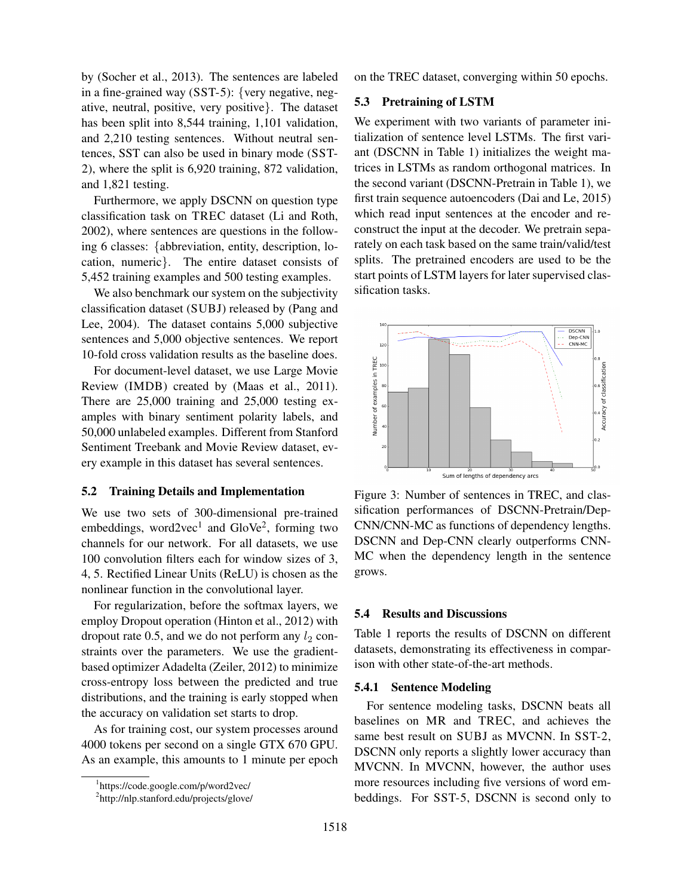by (Socher et al., 2013). The sentences are labeled in a fine-grained way (SST-5): {very negative, negative, neutral, positive, very positive}. The dataset has been split into 8,544 training, 1,101 validation, and 2,210 testing sentences. Without neutral sentences, SST can also be used in binary mode (SST-2), where the split is 6,920 training, 872 validation, and 1,821 testing.

Furthermore, we apply DSCNN on question type classification task on TREC dataset (Li and Roth, 2002), where sentences are questions in the following 6 classes: {abbreviation, entity, description, location, numeric}. The entire dataset consists of 5,452 training examples and 500 testing examples.

We also benchmark our system on the subjectivity classification dataset (SUBJ) released by (Pang and Lee, 2004). The dataset contains 5,000 subjective sentences and 5,000 objective sentences. We report 10-fold cross validation results as the baseline does.

For document-level dataset, we use Large Movie Review (IMDB) created by (Maas et al., 2011). There are 25,000 training and 25,000 testing examples with binary sentiment polarity labels, and 50,000 unlabeled examples. Different from Stanford Sentiment Treebank and Movie Review dataset, every example in this dataset has several sentences.

#### 5.2 Training Details and Implementation

We use two sets of 300-dimensional pre-trained embeddings, word2vec<sup>1</sup> and GloVe<sup>2</sup>, forming two channels for our network. For all datasets, we use 100 convolution filters each for window sizes of 3, 4, 5. Rectified Linear Units (ReLU) is chosen as the nonlinear function in the convolutional layer.

For regularization, before the softmax layers, we employ Dropout operation (Hinton et al., 2012) with dropout rate 0.5, and we do not perform any  $l_2$  constraints over the parameters. We use the gradientbased optimizer Adadelta (Zeiler, 2012) to minimize cross-entropy loss between the predicted and true distributions, and the training is early stopped when the accuracy on validation set starts to drop.

As for training cost, our system processes around 4000 tokens per second on a single GTX 670 GPU. As an example, this amounts to 1 minute per epoch

on the TREC dataset, converging within 50 epochs.

#### 5.3 Pretraining of LSTM

We experiment with two variants of parameter initialization of sentence level LSTMs. The first variant (DSCNN in Table 1) initializes the weight matrices in LSTMs as random orthogonal matrices. In the second variant (DSCNN-Pretrain in Table 1), we first train sequence autoencoders (Dai and Le, 2015) which read input sentences at the encoder and reconstruct the input at the decoder. We pretrain separately on each task based on the same train/valid/test splits. The pretrained encoders are used to be the start points of LSTM layers for later supervised classification tasks.



Figure 3: Number of sentences in TREC, and classification performances of DSCNN-Pretrain/Dep-CNN/CNN-MC as functions of dependency lengths. DSCNN and Dep-CNN clearly outperforms CNN-MC when the dependency length in the sentence grows.

#### 5.4 Results and Discussions

Table 1 reports the results of DSCNN on different datasets, demonstrating its effectiveness in comparison with other state-of-the-art methods.

## 5.4.1 Sentence Modeling

For sentence modeling tasks, DSCNN beats all baselines on MR and TREC, and achieves the same best result on SUBJ as MVCNN. In SST-2, DSCNN only reports a slightly lower accuracy than MVCNN. In MVCNN, however, the author uses more resources including five versions of word embeddings. For SST-5, DSCNN is second only to

<sup>1</sup> https://code.google.com/p/word2vec/

<sup>2</sup> http://nlp.stanford.edu/projects/glove/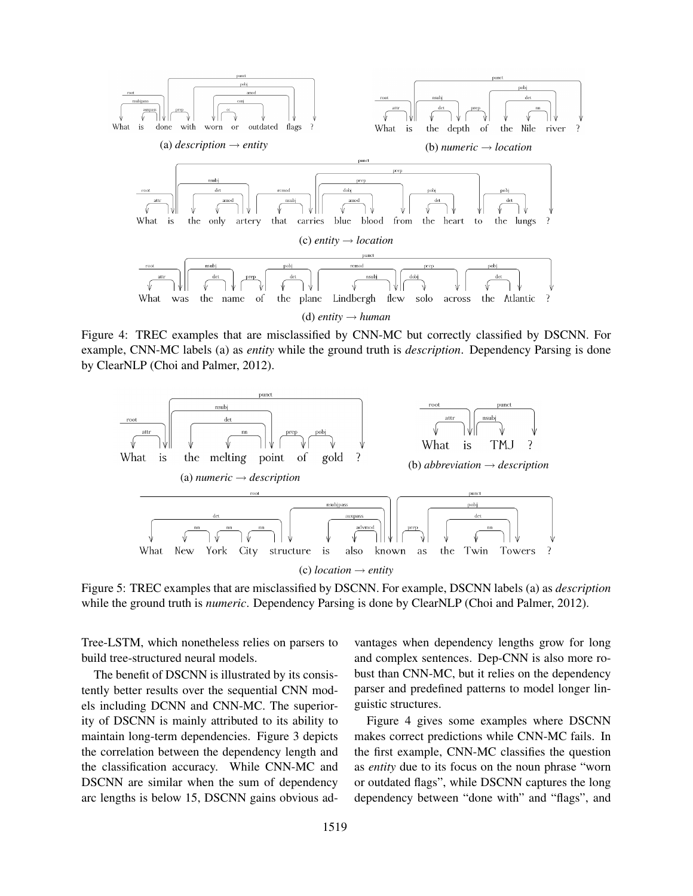

Figure 4: TREC examples that are misclassified by CNN-MC but correctly classified by DSCNN. For example, CNN-MC labels (a) as *entity* while the ground truth is *description*. Dependency Parsing is done by ClearNLP (Choi and Palmer, 2012).



Figure 5: TREC examples that are misclassified by DSCNN. For example, DSCNN labels (a) as *description* while the ground truth is *numeric*. Dependency Parsing is done by ClearNLP (Choi and Palmer, 2012).

Tree-LSTM, which nonetheless relies on parsers to build tree-structured neural models.

The benefit of DSCNN is illustrated by its consistently better results over the sequential CNN models including DCNN and CNN-MC. The superiority of DSCNN is mainly attributed to its ability to maintain long-term dependencies. Figure 3 depicts the correlation between the dependency length and the classification accuracy. While CNN-MC and DSCNN are similar when the sum of dependency arc lengths is below 15, DSCNN gains obvious advantages when dependency lengths grow for long and complex sentences. Dep-CNN is also more robust than CNN-MC, but it relies on the dependency parser and predefined patterns to model longer linguistic structures.

Figure 4 gives some examples where DSCNN makes correct predictions while CNN-MC fails. In the first example, CNN-MC classifies the question as *entity* due to its focus on the noun phrase "worn or outdated flags", while DSCNN captures the long dependency between "done with" and "flags", and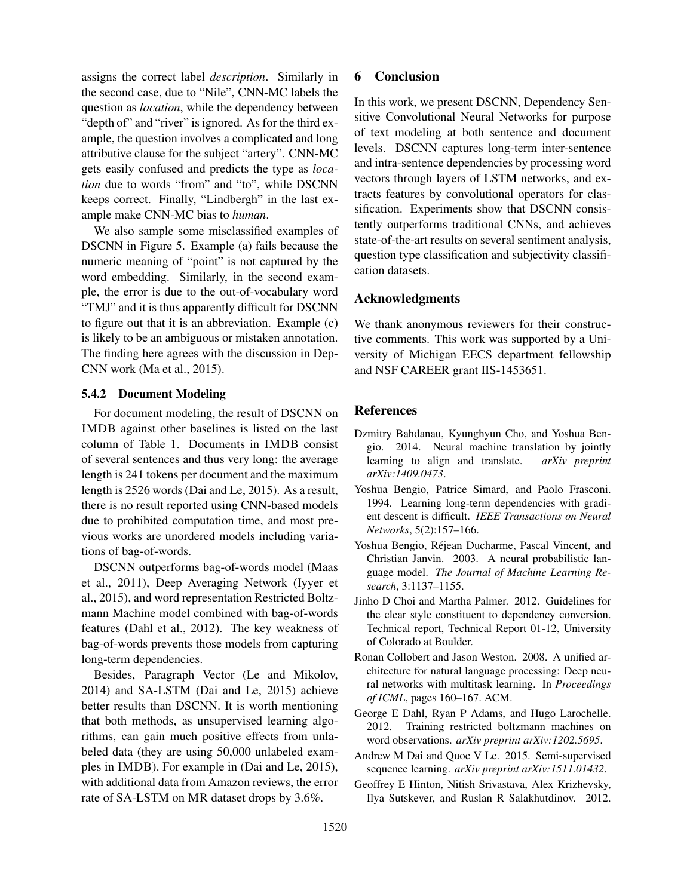assigns the correct label *description*. Similarly in the second case, due to "Nile", CNN-MC labels the question as *location*, while the dependency between "depth of" and "river" is ignored. As for the third example, the question involves a complicated and long attributive clause for the subject "artery". CNN-MC gets easily confused and predicts the type as *location* due to words "from" and "to", while DSCNN keeps correct. Finally, "Lindbergh" in the last example make CNN-MC bias to *human*.

We also sample some misclassified examples of DSCNN in Figure 5. Example (a) fails because the numeric meaning of "point" is not captured by the word embedding. Similarly, in the second example, the error is due to the out-of-vocabulary word "TMJ" and it is thus apparently difficult for DSCNN to figure out that it is an abbreviation. Example (c) is likely to be an ambiguous or mistaken annotation. The finding here agrees with the discussion in Dep-CNN work (Ma et al., 2015).

#### 5.4.2 Document Modeling

For document modeling, the result of DSCNN on IMDB against other baselines is listed on the last column of Table 1. Documents in IMDB consist of several sentences and thus very long: the average length is 241 tokens per document and the maximum length is 2526 words (Dai and Le, 2015). As a result, there is no result reported using CNN-based models due to prohibited computation time, and most previous works are unordered models including variations of bag-of-words.

DSCNN outperforms bag-of-words model (Maas et al., 2011), Deep Averaging Network (Iyyer et al., 2015), and word representation Restricted Boltzmann Machine model combined with bag-of-words features (Dahl et al., 2012). The key weakness of bag-of-words prevents those models from capturing long-term dependencies.

Besides, Paragraph Vector (Le and Mikolov, 2014) and SA-LSTM (Dai and Le, 2015) achieve better results than DSCNN. It is worth mentioning that both methods, as unsupervised learning algorithms, can gain much positive effects from unlabeled data (they are using 50,000 unlabeled examples in IMDB). For example in (Dai and Le, 2015), with additional data from Amazon reviews, the error rate of SA-LSTM on MR dataset drops by 3.6%.

# 6 Conclusion

In this work, we present DSCNN, Dependency Sensitive Convolutional Neural Networks for purpose of text modeling at both sentence and document levels. DSCNN captures long-term inter-sentence and intra-sentence dependencies by processing word vectors through layers of LSTM networks, and extracts features by convolutional operators for classification. Experiments show that DSCNN consistently outperforms traditional CNNs, and achieves state-of-the-art results on several sentiment analysis, question type classification and subjectivity classification datasets.

#### Acknowledgments

We thank anonymous reviewers for their constructive comments. This work was supported by a University of Michigan EECS department fellowship and NSF CAREER grant IIS-1453651.

### References

- Dzmitry Bahdanau, Kyunghyun Cho, and Yoshua Bengio. 2014. Neural machine translation by jointly learning to align and translate. *arXiv preprint arXiv:1409.0473*.
- Yoshua Bengio, Patrice Simard, and Paolo Frasconi. 1994. Learning long-term dependencies with gradient descent is difficult. *IEEE Transactions on Neural Networks*, 5(2):157–166.
- Yoshua Bengio, Rejean Ducharme, Pascal Vincent, and ´ Christian Janvin. 2003. A neural probabilistic language model. *The Journal of Machine Learning Research*, 3:1137–1155.
- Jinho D Choi and Martha Palmer. 2012. Guidelines for the clear style constituent to dependency conversion. Technical report, Technical Report 01-12, University of Colorado at Boulder.
- Ronan Collobert and Jason Weston. 2008. A unified architecture for natural language processing: Deep neural networks with multitask learning. In *Proceedings of ICML*, pages 160–167. ACM.
- George E Dahl, Ryan P Adams, and Hugo Larochelle. 2012. Training restricted boltzmann machines on word observations. *arXiv preprint arXiv:1202.5695*.
- Andrew M Dai and Quoc V Le. 2015. Semi-supervised sequence learning. *arXiv preprint arXiv:1511.01432*.
- Geoffrey E Hinton, Nitish Srivastava, Alex Krizhevsky, Ilya Sutskever, and Ruslan R Salakhutdinov. 2012.